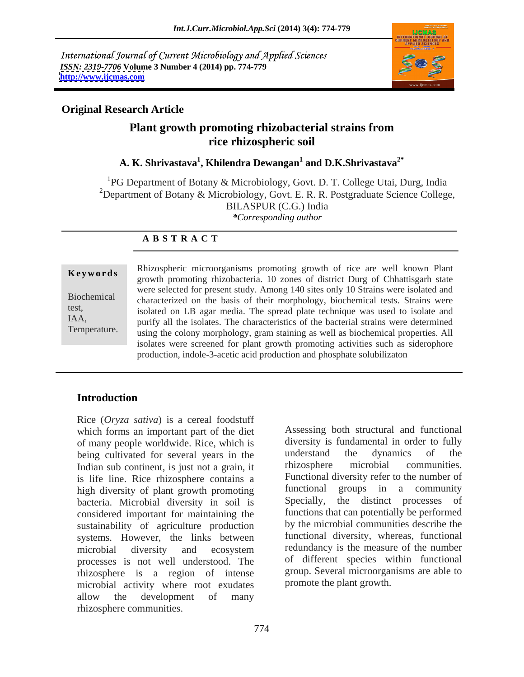International Journal of Current Microbiology and Applied Sciences *ISSN: 2319-7706* **Volume 3 Number 4 (2014) pp. 774-779 <http://www.ijcmas.com>**



### **Original Research Article**

# **Plant growth promoting rhizobacterial strains from rice rhizospheric soil**

### **A. K. Shrivastava<sup>1</sup> , Khilendra Dewangan<sup>1</sup> and D.K.Shrivastava2\***

<sup>1</sup>PG Department of Botany & Microbiology, Govt. D. T. College Utai, Durg, India <sup>2</sup>Department of Botany & Microbiology, Govt. E. R. R. Postgraduate Science College, BILASPUR (C.G.) India *\*Corresponding author*

### **A B S T R A C T**

**Keywords**<br>
growth promoting rhizobacteria. 10 zones of district Durg of Chhattisgarh state Biochemical characterized on the basis of their morphology, biochemical tests. Strains were test,<br>isolated on LB agar media. The spread plate technique was used to isolate and IAA, purify all the isolates. The characteristics of the bacterial strains were determined Temperature. using the colony morphology, gram staining as well as biochemical properties. All Rhizospheric microorganisms promoting growth of rice are well known Plant<br>growth promoting rhizobacteria. 10 zones of district Durg of Chhattisgarh state<br>were selected for present study. Among 140 sites only 10 Strains wer were selected for present study. Among 140 sites only 10 Strains were isolated and isolates were screened for plant growth promoting activities such as siderophore production, indole-3-acetic acid production and phosphate solubilizaton

### **Introduction**

Rice (*Oryza sativa*) is a cereal foodstuff which forms an important part of the diet of many people worldwide. Rice, which is diversity is fundamental in order to fully<br>being cultivated for several vears in the understand the dynamics of the being cultivated for several years in the understand the dynamics of the Indian sub-continent is just not a grain it rhizosphere microbial communities. Indian sub continent, is just not agrain, it is life line. Rice rhizosphere contains a high diversity of plant growth promoting bacteria. Microbial diversity in soil is considered important for maintaining the sustainability of agriculture production systems. However, the links between processes is not well understood. The rhizosphere is a region of intense microbial activity where root exudates allow the development of many rhizosphere communities.

microbial diversity and ecosystem redundancy is the measure of the number Assessing both structural and functional diversity is fundamental in order to fully understand the dynamics of the rhizosphere microbial communities. Functional diversity refer to the number of functional groups in a community Specially, the distinct processes of functions that can potentially be performed by the microbial communities describe the functional diversity, whereas, functional redundancy is the measure of the number of different species within functional group. Several microorganisms are able to promote the plant growth.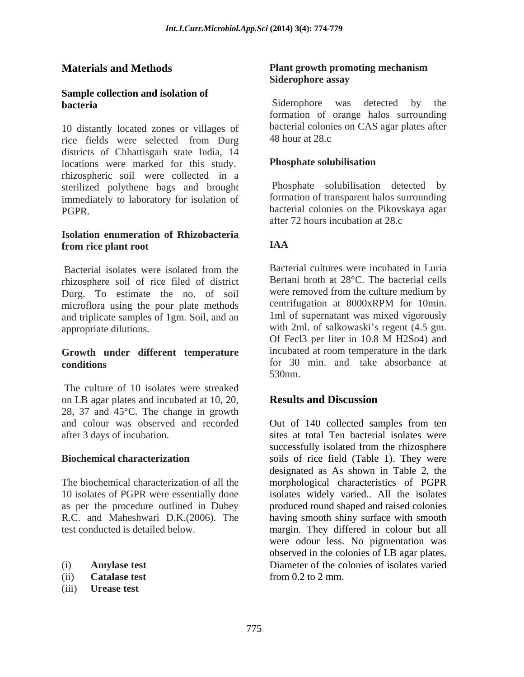# **Sample collection and isolation of**

10 distantly located zones or villages of bacterial coloni<br>rice fields were selected from Durg 48 hour at 28.c rice fields were selected from Durg 48 hour at 28.c districts of Chhattisgarh state India, 14<br>locations were marked for this study **Phosphate solubilisation** locations were marked for this study. rhizospheric soil were collected in a sterilized polythene bags and brought immediately to laboratory for isolation of PGPR. bacterial colonies on the Pikovskaya agar

### **Isolation enumeration of Rhizobacteria from rice plant root**

rhizosphere soil of rice filed of district Durg. To estimate the no. of soil were removed from the culture medium by microflora using the nour plate methods centrifugation at 8000xRPM for 10min. microflora using the pour plate methods and triplicate samples of 1gm. Soil, and an

The culture of 10 isolates were streaked on LB agar plates and incubated at 10, 20, **Results and Discussion** 28, 37 and 45°C. The change in growth

- 
- 
- (iii) **Urease test**

### **Materials and Methods** Plant growth promoting mechanism<br>Siderophore assay **Plant growth promoting mechanism Siderophore assay**

**bacteria** Siderophore was detected by the formation of orange halos surrounding bacterial colonies on CAS agar plates after 48 hour at 28.c

### **Phosphate solubilisation**

Phosphate solubilisation detected by formation of transparent halos surrounding after 72 hours incubation at 28.c

### **IAA**

Bacterial isolates were isolated from the Bacterial cultures were incubated in Luria appropriate dilutions. with 2ml. of salkowaski's regent (4.5 gm. **Growth under different temperature incubated** at room **temperature** in the dark **conditions** for 30 min. and take absorbance at Bacterial cultures were incubated in Luria Bertani broth at 28°C. The bacterial cells were removed from the culture medium by centrifugation at 8000xRPM for 10min. 1ml of supernatant was mixed vigorously Of Fecl3 per liter in 10.8 M H2So4) and incubated at room temperature in the dark 530nm.

### **Results and Discussion**

and colour was observed and recorded Out of 140 collected samples from ten after 3 days of incubation. sites at total Ten bacterial isolates were **Biochemical characterization** soils of rice field (Table 1). They were<br>designated as As shown in Table 2, the<br>The biochemical characterization of all the morphological characteristics of PGPR 10 isolates of PGPR were essentially done isolates widely varied.. All the isolates as per the procedure outlined in Dubey produced round shaped and raised colonies R.C. and Maheshwari D.K.(2006). The having smooth shiny surface with smooth test conducted is detailed below. margin. They differed in colour but all (i) **Amylase test** Diameter of the colonies of isolates varied (ii) **Catalase test** successfully isolated from the rhizosphere soils of rice field (Table 1). They were designated as As shown in Table 2, the morphological characteristics of PGPR were odour less. No pigmentation was observed in the colonies of LB agar plates. from 0.2 to 2 mm.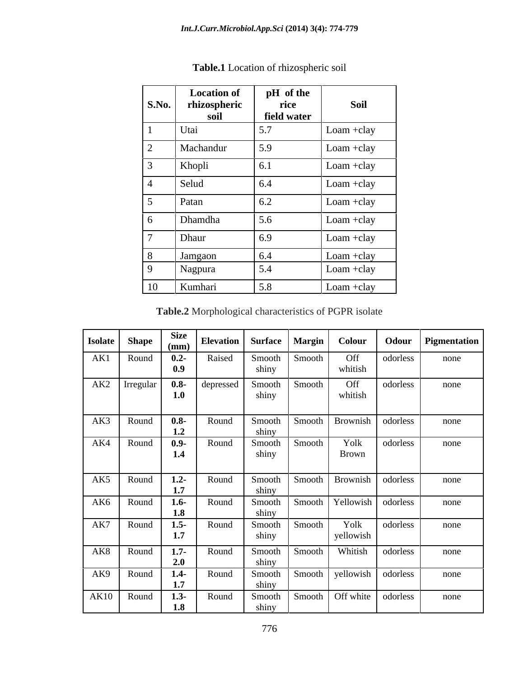| <b>S.No.</b>    | <b>Location of</b><br>rhizospheric<br>soil | pH of the<br>rice<br>field water | Soil         |
|-----------------|--------------------------------------------|----------------------------------|--------------|
|                 | Utai                                       | 5.7                              | Loam +clay   |
| $\overline{2}$  | Machandur                                  | 5.9                              | Loam +clay   |
| $\mathfrak{Z}$  | Khopli                                     | 6.1                              | Loam +clay   |
| 4               | Selud                                      | 6.4                              | Loam +clay   |
| $5\overline{)}$ | Patan                                      | 6.2                              | Loam +clay   |
| 6               | Dhamdha                                    | 5.6                              | Loam +clay   |
| $\mathbf{\tau}$ | Dhaur                                      | 6.9                              | Loam +clay   |
| 8               | Jamgaon                                    | 6.4                              | $Loam +clay$ |
| 9               | Nagpura                                    | 5.4                              | Loam +clay   |
| 10              | Kumhari                                    | 5.8                              | $Loam +clay$ |

**Table.1** Location of rhizospheric soil

**Table.2** Morphological characteristics of PGPR isolate

| <b>Isolate</b> | <b>Shape</b>    | <b>Size</b><br>(mm) | <b>Elevation</b> Surface   Margin |                 |        | Colour               | Odour    | Pigmentation |
|----------------|-----------------|---------------------|-----------------------------------|-----------------|--------|----------------------|----------|--------------|
| AK1            | Round           | $0.2 -$<br>0.9      | Raised                            | Smooth<br>shiny | Smooth | Off<br>whitish       | odorless | none         |
|                | $AK2$ Irregular | $0.8 -$<br>1.0      | depressed                         | Smooth<br>shiny | Smooth | Off<br>whitish       | odorless | none         |
| AK3            | Round           | $0.8 -$<br>1.2      | Round                             | Smooth<br>shiny | Smooth | Brownish             | odorless | none         |
| AK4            | Round           | $0.9 -$<br>1.4      | Round                             | Smooth<br>shiny | Smooth | Yolk<br><b>Brown</b> | odorless | none         |
| AK5            | Round           | $1.2 -$<br>1.7      | Round                             | Smooth<br>shiny | Smooth | Brownish             | odorless | none         |
| AK6            | Round           | $1.6 -$<br>1.8      | Round                             | Smooth<br>shiny | Smooth | Yellowish            | odorless | none         |
| AK7            | Round           | $1.5 -$<br>1.7      | Round                             | Smooth<br>shiny | Smooth | Yolk<br>yellowish    | odorless | none         |
|                | AK8 Round       | $1.7 -$<br>2.0      | Round                             | Smooth<br>shiny | Smooth | Whitish              | odorless | none         |
| AK9            | Round           | $1.4 -$<br>1.7      | Round                             | Smooth<br>shiny | Smooth | yellowish doorless   |          | none         |
|                | AK10 Round      | $1.3 -$<br>1.8      | Round                             | Smooth<br>shiny | Smooth | Off white $\vert$    | odorless | none         |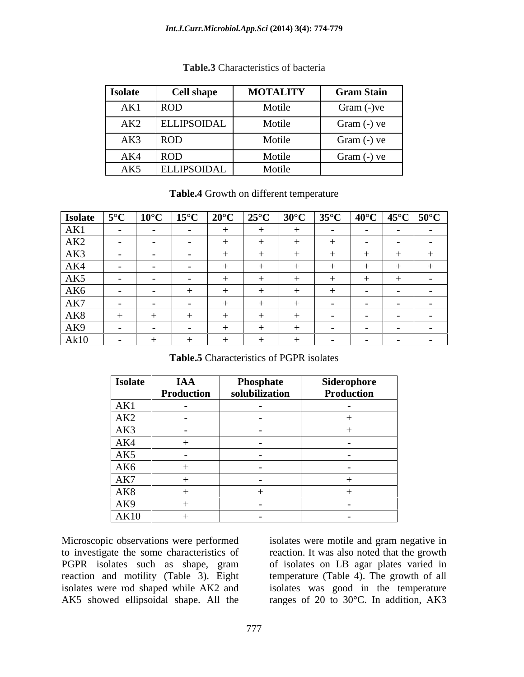### *Int.J.Curr.Microbiol.App.Sci* **(2014) 3(4): 774-779**

| Isolate | <b>Cell shape</b>  | <b>MOTALITY</b> | <b>Gram Stain</b> |
|---------|--------------------|-----------------|-------------------|
| AK1     | <b>ROD</b>         | Motile          | Gram (-)ve        |
| AK2     | <b>ELLIPSOIDAL</b> | Motile          | Gram (-) ve       |
| AK3     | <b>ROD</b>         | Motile          | Gram (-) ve       |
| AK4     | <b>ROD</b>         | Motile          | Gram (-) ve       |
| AK5     | ELLIPSOIDAL        | Motile          |                   |

### **Table.3** Characteristics of bacteria

### **Table.4** Growth on different temperature

|                 |  | Isolate $5^{\circ}$ C   10 <sup>°</sup> C   15 <sup>°</sup> C   20 <sup>°</sup> C   25 <sup>°</sup> C   30 <sup>°</sup> C   35 <sup>°</sup> C   40 <sup>°</sup> C   45 <sup>°</sup> C   50 <sup>°</sup> C |  |  |            |  |
|-----------------|--|-----------------------------------------------------------------------------------------------------------------------------------------------------------------------------------------------------------|--|--|------------|--|
| AK1             |  | $\sim$ $\sim$ $\sim$                                                                                                                                                                                      |  |  | $\sim$ $-$ |  |
| AK2             |  |                                                                                                                                                                                                           |  |  |            |  |
| AK3             |  |                                                                                                                                                                                                           |  |  |            |  |
| AK4             |  |                                                                                                                                                                                                           |  |  |            |  |
| AK5             |  |                                                                                                                                                                                                           |  |  |            |  |
| AK <sub>6</sub> |  |                                                                                                                                                                                                           |  |  |            |  |
| AK7             |  |                                                                                                                                                                                                           |  |  |            |  |
| AK8             |  |                                                                                                                                                                                                           |  |  |            |  |
| AK9             |  |                                                                                                                                                                                                           |  |  |            |  |
| Ak10            |  |                                                                                                                                                                                                           |  |  |            |  |

**Table.5** Characteristics of PGPR isolates

| <b>Isolate</b>                                | <b>IAA</b>               | <b>Phosphate</b>         | Siderophore              |
|-----------------------------------------------|--------------------------|--------------------------|--------------------------|
|                                               | Production               | solubilization           | Production               |
| AK1                                           | $\sim$                   | $\sim$                   | $\sim$                   |
| AK <sub>2</sub>                               | $\sim$ $-$               | $\sim$                   |                          |
| AK3                                           | $\overline{\phantom{0}}$ |                          |                          |
| AK4                                           |                          |                          | $\overline{\phantom{0}}$ |
| AK5                                           |                          |                          |                          |
| AK6                                           |                          |                          |                          |
| AK7                                           |                          | $\sim$ $\sim$            |                          |
| AK8                                           |                          |                          |                          |
| AK9                                           |                          | $\overline{\phantom{0}}$ | $\overline{\phantom{0}}$ |
| $\overbrace{\hspace{25mm}}^{}$<br><b>AK10</b> |                          |                          | $\overline{\phantom{0}}$ |

Microscopic observations were performed isolates were motile and gram negative in to investigate the some characteristics of reaction. It was also noted that the growth PGPR isolates such as shape, gram of isolates on LB agar plates varied in reaction and motility (Table 3). Eight temperature (Table 4). The growth of all isolates were rod shaped while AK2 and isolates was good in the temperature AK5 showed ellipsoidal shape. All the ranges of 20 to 30°C. In addition, AK3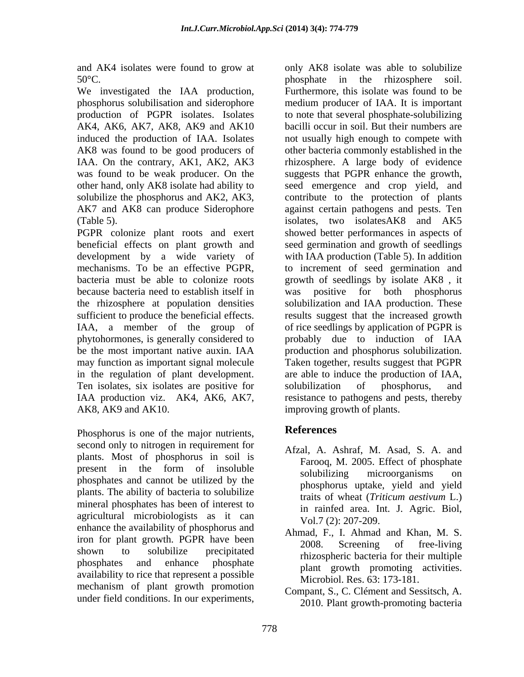We investigated the IAA production, AK4, AK6, AK7, AK8, AK9 and AK10

PGPR colonize plant roots and exert development by a wide variety of because bacteria need to establish itself in was positive for both phosphorus may function as important signal molecule Ten isolates, six isolates are positive for solubilization of phosphorus, and AK8, AK9 and AK10. improving growth of plants.

Phosphorus is one of the major nutrients, **References** second only to nitrogen in requirement for plants. Most of phosphorus in soil is present in the form of insoluble solubilizing microorganisms on phosphates and cannot be utilized by the plants. The ability of bacteria to solubilize mineral phosphates has been of interest to agricultural microbiologists as it can enhance the availability of phosphorus and iron for plant growth. PGPR have been 2008. Screening of free-living shown to solubilize precipitated  $\frac{2000}{\text{phig}}$  between  $\frac{1}{\text{phig}}$ phosphates and enhance phosphate measurements activities availability to rice that represent a possible mechanism of plant growth promotion under field conditions. In our experiments,

and AK4 isolates were found to grow at only AK8 isolate was able to solubilize 50°C. phosphate in the rhizosphere soil. phosphorus solubilisation and siderophore medium producer of IAA. It is important production of PGPR isolates. Isolates to note that several phosphate-solubilizing induced the production of IAA. Isolates not usually high enough to compete with AK8 was found to be good producers of other bacteria commonly established in the IAA. On the contrary, AK1, AK2, AK3 rhizosphere. A large body of evidence was found to be weak producer. On the suggests that PGPR enhance the growth, other hand, only AK8 isolate had ability to seed emergence and crop yield, and solubilize the phosphorus and AK2, AK3, contribute to the protection of plants AK7 and AK8 can produce Siderophore against certain pathogens and pests. Ten (Table 5). isolates, two isolatesAK8 and AK5 beneficial effects on plant growth and seed germination and growth of seedlings mechanisms. To be an effective PGPR, to increment of seed germination and bacteria must be able to colonize roots growth of seedlings by isolate AK8 , it the rhizosphere at population densities solubilization and IAA production. These sufficient to produce the beneficial effects. results suggest that the increased growth IAA, a member of the group of of rice seedlings by application of PGPR is phytohormones, is generally considered to probably due to induction of IAA be the most important native auxin. IAA production and phosphorus solubilization. in the regulation of plant development. are able to induce the production of IAA, IAA production viz. AK4, AK6, AK7, resistance to pathogens and pests, thereby Furthermore, this isolate was found to be bacilli occur in soil. But their numbers are showed better performances in aspects of with IAA production (Table 5). In addition was positive for both phosphorus Taken together, results suggest that PGPR solubilization of phosphorus, and

## **References**

- Afzal, A. Ashraf, M. Asad, S. A. and Farooq, M. 2005. Effect of phosphate solubilizing microorganisms on phosphorus uptake, yield and yield traits of wheat (*Triticum aestivum* L.) in rainfed area. Int. J. Agric. Biol, Vol.7 (2): 207-209.
- Ahmad, F., I. Ahmad and Khan, M. S. 2008. Screening of free-living rhizospheric bacteria for their multiple plant growth promoting activities. Microbiol. Res. 63: 173-181.
- Compant, S., C. Clément and Sessitsch, A. 2010. Plant growth-promoting bacteria